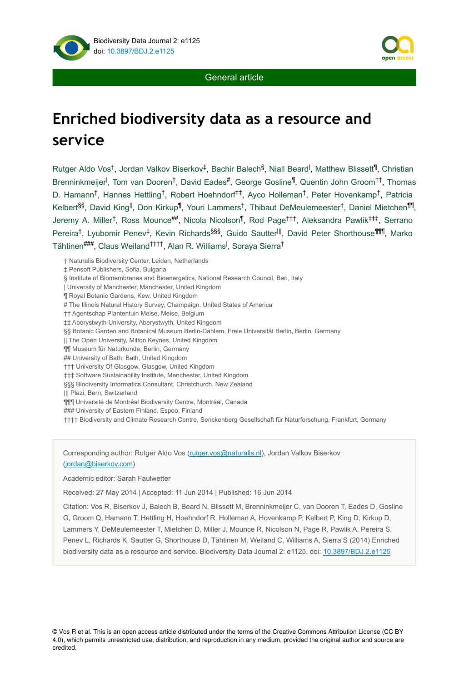





General article

# **Enriched biodiversity data as a resource and service**

 $R$ utger Aldo Vos<sup>t</sup>, Jordan Valkov Biserkov<sup>‡</sup>, Bachir Balech<sup>§</sup>, Niall Beard<sup>l</sup>, Matthew Blissett<sup>¶</sup>, Christian Brenninkmeijer<sup>l</sup>, Tom van Dooren<sup>t</sup>, David Eades<sup>#</sup>, George Gosline<sup>¶</sup>, Quentin John Groom<sup>tt</sup>, Thomas D. Hamann<sup>†</sup>, Hannes Hettling<sup>†</sup>, Robert Hoehndorf<sup>‡‡</sup>, Ayco Holleman<sup>†</sup>, Peter Hovenkamp<sup>†</sup>, Patricia Kelbert<sup>§§</sup>, David King<sup>ll</sup>, Don Kirkup<sup>¶</sup>, Youri Lammers<sup>†</sup>, Thibaut DeMeulemeester<sup>†</sup>, Daniel Mietchen<sup>¶1</sup>, Jeremy A. Miller<sup>t</sup>, Ross Mounce##, Nicola Nicolson<sup>¶</sup>, Rod Page<sup>ttt</sup>, Aleksandra Pawlik<sup>‡‡‡</sup>, Serrano Pereira<sup>†</sup>, Lyubomir Penev<sup>‡</sup>, Kevin Richards<sup>§§§</sup>, Guido Sautter<sup>|||</sup>, David Peter Shorthouse<sup>¶¶¶</sup>, Marko Tähtinen###, Claus Weiland<sup>††††</sup>, Alan R. Williams<sup>I</sup>, Soraya Sierra<sup>†</sup>

† Naturalis Biodiversity Center, Leiden, Netherlands

‡ Pensoft Publishers, Sofia, Bulgaria

§ Institute of Biomembranes and Bioenergetics, National Research Council, Bari, Italy

| University of Manchester, Manchester, United Kingdom

¶ Royal Botanic Gardens, Kew, United Kingdom

# The Illinois Natural History Survey, Champaign, United States of America

†† Agentschap Plantentuin Meise, Meise, Belgium

‡‡ Aberystwyth University, Aberystwyth, United Kingdom

§§ Botanic Garden and Botanical Museum Berlin-Dahlem, Freie Universität Berlin, Berlin, Germany

|| The Open University, Milton Keynes, United Kingdom

¶¶ Museum für Naturkunde, Berlin, Germany

## University of Bath, Bath, United Kingdom

††† University Of Glasgow, Glasgow, United Kingdom

‡‡‡ Software Sustainability Institute, Manchester, United Kingdom

§§§ Biodiversity Informatics Consultant, Christchurch, New Zealand

||| Plazi, Bern, Switzerland

¶¶¶ Université de Montréal Biodiversity Centre, Montréal, Canada

### University of Eastern Finland, Espoo, Finland

†††† Biodiversity and Climate Research Centre, Senckenberg Gesellschaft für Naturforschung, Frankfurt, Germany

Corresponding author: Rutger Aldo Vos [\(rutger.vos@naturalis.nl](mailto:rutger.vos@naturalis.nl)), Jordan Valkov Biserkov [\(jordan@biserkov.com\)](mailto:jordan@biserkov.com)

Academic editor: Sarah Faulwetter

Received: 27 May 2014 | Accepted: 11 Jun 2014 | Published: 16 Jun 2014

Citation: Vos R, Biserkov J, Balech B, Beard N, Blissett M, Brenninkmeijer C, van Dooren T, Eades D, Gosline G, Groom Q, Hamann T, Hettling H, Hoehndorf R, Holleman A, Hovenkamp P, Kelbert P, King D, Kirkup D, Lammers Y, DeMeulemeester T, Mietchen D, Miller J, Mounce R, Nicolson N, Page R, Pawlik A, Pereira S, Penev L, Richards K, Sautter G, Shorthouse D, Tähtinen M, Weiland C, Williams A, Sierra S (2014) Enriched biodiversity data as a resource and service. Biodiversity Data Journal 2: e1125. doi: [10.3897/BDJ.2.e1125](http://dx.doi.org/10.3897/BDJ.2.e1125)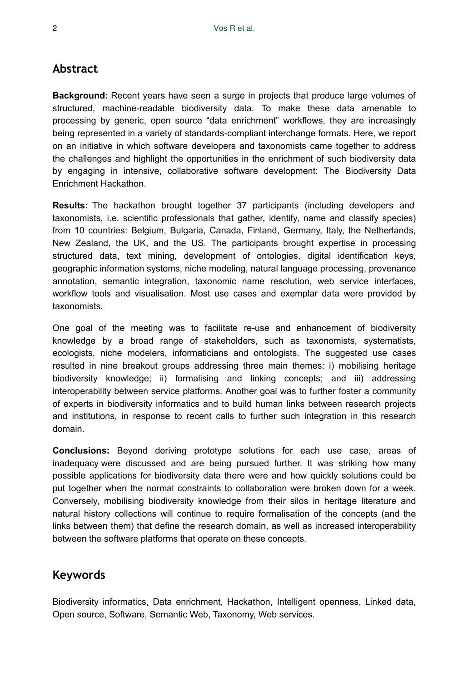# **Abstract**

**Background:** Recent years have seen a surge in projects that produce large volumes of structured, machine-readable biodiversity data. To make these data amenable to processing by generic, open source "data enrichment" workflows, they are increasingly being represented in a variety of standards-compliant interchange formats. Here, we report on an initiative in which software developers and taxonomists came together to address the challenges and highlight the opportunities in the enrichment of such biodiversity data by engaging in intensive, collaborative software development: The Biodiversity Data Enrichment Hackathon.

**Results:** The hackathon brought together 37 participants (including developers and taxonomists, i.e. scientific professionals that gather, identify, name and classify species) from 10 countries: Belgium, Bulgaria, Canada, Finland, Germany, Italy, the Netherlands, New Zealand, the UK, and the US. The participants brought expertise in processing structured data, text mining, development of ontologies, digital identification keys, geographic information systems, niche modeling, natural language processing, provenance annotation, semantic integration, taxonomic name resolution, web service interfaces, workflow tools and visualisation. Most use cases and exemplar data were provided by taxonomists.

One goal of the meeting was to facilitate re-use and enhancement of biodiversity knowledge by a broad range of stakeholders, such as taxonomists, systematists, ecologists, niche modelers, informaticians and ontologists. The suggested use cases resulted in nine breakout groups addressing three main themes: i) mobilising heritage biodiversity knowledge; ii) formalising and linking concepts; and iii) addressing interoperability between service platforms. Another goal was to further foster a community of experts in biodiversity informatics and to build human links between research projects and institutions, in response to recent calls to further such integration in this research domain.

**Conclusions:** Beyond deriving prototype solutions for each use case, areas of inadequacy were discussed and are being pursued further. It was striking how many possible applications for biodiversity data there were and how quickly solutions could be put together when the normal constraints to collaboration were broken down for a week. Conversely, mobilising biodiversity knowledge from their silos in heritage literature and natural history collections will continue to require formalisation of the concepts (and the links between them) that define the research domain, as well as increased interoperability between the software platforms that operate on these concepts.

# **Keywords**

Biodiversity informatics, Data enrichment, Hackathon, Intelligent openness, Linked data, Open source, Software, Semantic Web, Taxonomy, Web services.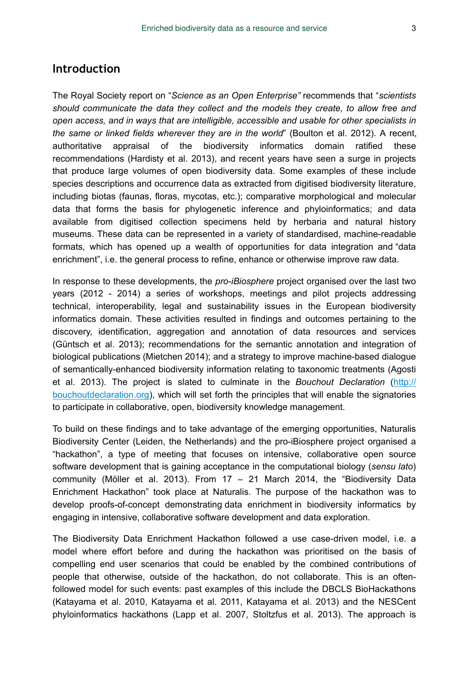# **Introduction**

The Royal Society report on "*Science as an Open Enterprise"* recommends that "*scientists should communicate the data they collect and the models they create, to allow free and open access, and in ways that are intelligible, accessible and usable for other specialists in the same or linked fields wherever they are in the world*" (Boulton et al. 2012). A recent, authoritative appraisal of the biodiversity informatics domain ratified these recommendations (Hardisty et al. 2013), and recent years have seen a surge in projects that produce large volumes of open biodiversity data. Some examples of these include species descriptions and occurrence data as extracted from digitised biodiversity literature, including biotas (faunas, floras, mycotas, etc.); comparative morphological and molecular data that forms the basis for phylogenetic inference and phyloinformatics; and data available from digitised collection specimens held by herbaria and natural history museums. These data can be represented in a variety of standardised, machine-readable formats, which has opened up a wealth of opportunities for data integration and "data enrichment", i.e. the general process to refine, enhance or otherwise improve raw data.

In response to these developments, the *pro-iBiosphere* project organised over the last two years (2012 - 2014) a series of workshops, meetings and pilot projects addressing technical, interoperability, legal and sustainability issues in the European biodiversity informatics domain. These activities resulted in findings and outcomes pertaining to the discovery, identification, aggregation and annotation of data resources and services (Güntsch et al. 2013); recommendations for the semantic annotation and integration of biological publications (Mietchen 2014); and a strategy to improve machine-based dialogue of semantically-enhanced biodiversity information relating to taxonomic treatments (Agosti et al. 2013). The project is slated to culminate in the *Bouchout Declaration* ([http://](http://bouchoutdeclaration.org/) [bouchoutdeclaration.org](http://bouchoutdeclaration.org/)), which will set forth the principles that will enable the signatories to participate in collaborative, open, biodiversity knowledge management.

To build on these findings and to take advantage of the emerging opportunities, Naturalis Biodiversity Center (Leiden, the Netherlands) and the pro-iBiosphere project organised a "hackathon", a type of meeting that focuses on intensive, collaborative open source software development that is gaining acceptance in the computational biology (*sensu lato*) community (Möller et al. 2013). From 17 – 21 March 2014, the "Biodiversity Data Enrichment Hackathon" took place at Naturalis. The purpose of the hackathon was to develop proofs-of-concept demonstrating data enrichment in biodiversity informatics by engaging in intensive, collaborative software development and data exploration.

The Biodiversity Data Enrichment Hackathon followed a use case-driven model, i.e. a model where effort before and during the hackathon was prioritised on the basis of compelling end user scenarios that could be enabled by the combined contributions of people that otherwise, outside of the hackathon, do not collaborate. This is an oftenfollowed model for such events: past examples of this include the DBCLS BioHackathons (Katayama et al. 2010, Katayama et al. 2011, Katayama et al. 2013) and the NESCent phyloinformatics hackathons (Lapp et al. 2007, Stoltzfus et al. 2013). The approach is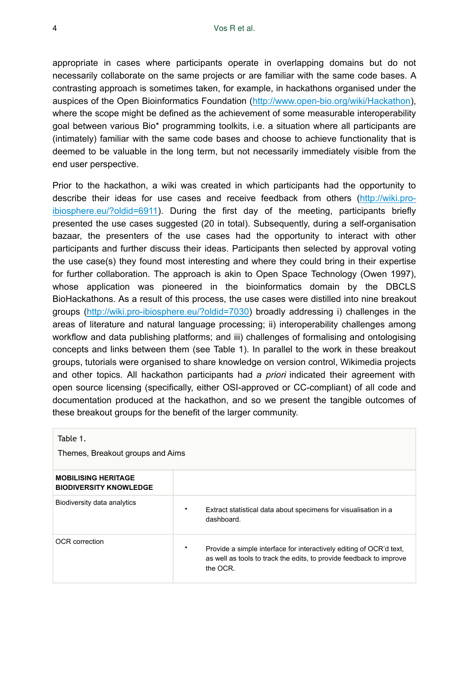appropriate in cases where participants operate in overlapping domains but do not necessarily collaborate on the same projects or are familiar with the same code bases. A contrasting approach is sometimes taken, for example, in hackathons organised under the auspices of the Open Bioinformatics Foundation [\(http://www.open-bio.org/wiki/Hackathon\)](http://www.open-bio.org/wiki/Hackathon), where the scope might be defined as the achievement of some measurable interoperability goal between various Bio\* programming toolkits, i.e. a situation where all participants are (intimately) familiar with the same code bases and choose to achieve functionality that is deemed to be valuable in the long term, but not necessarily immediately visible from the end user perspective.

Prior to the hackathon, a wiki was created in which participants had the opportunity to describe their ideas for use cases and receive feedback from others [\(http://wiki.pro](http://wiki.pro-ibiosphere.eu/?oldid=6911)[ibiosphere.eu/?oldid=6911\)](http://wiki.pro-ibiosphere.eu/?oldid=6911). During the first day of the meeting, participants briefly presented the use cases suggested (20 in total). Subsequently, during a self-organisation bazaar, the presenters of the use cases had the opportunity to interact with other participants and further discuss their ideas. Participants then selected by approval voting the use case(s) they found most interesting and where they could bring in their expertise for further collaboration. The approach is akin to Open Space Technology (Owen 1997), whose application was pioneered in the bioinformatics domain by the DBCLS BioHackathons. As a result of this process, the use cases were distilled into nine breakout groups ([http://wiki.pro-ibiosphere.eu/?oldid=7030\)](http://wiki.pro-ibiosphere.eu/?oldid=7030) broadly addressing i) challenges in the areas of literature and natural language processing; ii) interoperability challenges among workflow and data publishing platforms; and iii) challenges of formalising and ontologising concepts and links between them (see Table 1). In parallel to the work in these breakout groups, tutorials were organised to share knowledge on version control, Wikimedia projects and other topics. All hackathon participants had *a priori* indicated their agreement with open source licensing (specifically, either OSI-approved or CC-compliant) of all code and documentation produced at the hackathon, and so we present the tangible outcomes of these breakout groups for the benefit of the larger community.

| Table 1.<br>Themes, Breakout groups and Aims                |                                                                                                                                                             |
|-------------------------------------------------------------|-------------------------------------------------------------------------------------------------------------------------------------------------------------|
| <b>MOBILISING HERITAGE</b><br><b>BIODIVERSITY KNOWLEDGE</b> |                                                                                                                                                             |
| Biodiversity data analytics                                 | Extract statistical data about specimens for visualisation in a<br>٠<br>dashboard.                                                                          |
| OCR correction                                              | ٠<br>Provide a simple interface for interactively editing of OCR'd text.<br>as well as tools to track the edits, to provide feedback to improve<br>the OCR. |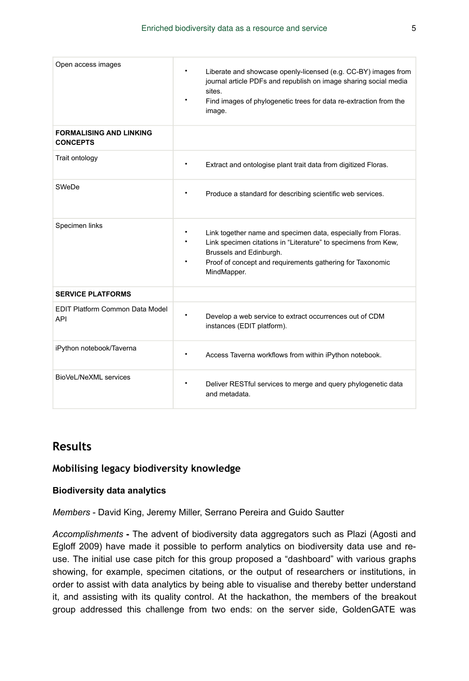| Open access images                                | $\bullet$<br>Liberate and showcase openly-licensed (e.g. CC-BY) images from<br>journal article PDFs and republish on image sharing social media<br>sites.<br>٠<br>Find images of phylogenetic trees for data re-extraction from the<br>image.    |
|---------------------------------------------------|--------------------------------------------------------------------------------------------------------------------------------------------------------------------------------------------------------------------------------------------------|
| <b>FORMALISING AND LINKING</b><br><b>CONCEPTS</b> |                                                                                                                                                                                                                                                  |
| Trait ontology                                    | $\bullet$<br>Extract and ontologise plant trait data from digitized Floras.                                                                                                                                                                      |
| SWeDe                                             | ٠<br>Produce a standard for describing scientific web services.                                                                                                                                                                                  |
| Specimen links                                    | Link together name and specimen data, especially from Floras.<br>٠<br>Link specimen citations in "Literature" to specimens from Kew,<br>٠<br>Brussels and Edinburgh.<br>Proof of concept and requirements gathering for Taxonomic<br>MindMapper. |
| <b>SERVICE PLATFORMS</b>                          |                                                                                                                                                                                                                                                  |
| <b>EDIT Platform Common Data Model</b><br>API     | $\bullet$<br>Develop a web service to extract occurrences out of CDM<br>instances (EDIT platform).                                                                                                                                               |
| iPython notebook/Taverna                          | Access Taverna workflows from within iPython notebook.<br>٠                                                                                                                                                                                      |
| BioVeL/NeXML services                             | Deliver RESTful services to merge and query phylogenetic data<br>and metadata.                                                                                                                                                                   |

# **Results**

# **Mobilising legacy biodiversity knowledge**

#### **Biodiversity data analytics**

*Members* - David King, Jeremy Miller, Serrano Pereira and Guido Sautter

*Accomplishments* **-** The advent of biodiversity data aggregators such as Plazi (Agosti and Egloff 2009) have made it possible to perform analytics on biodiversity data use and reuse. The initial use case pitch for this group proposed a "dashboard" with various graphs showing, for example, specimen citations, or the output of researchers or institutions, in order to assist with data analytics by being able to visualise and thereby better understand it, and assisting with its quality control. At the hackathon, the members of the breakout group addressed this challenge from two ends: on the server side, GoldenGATE was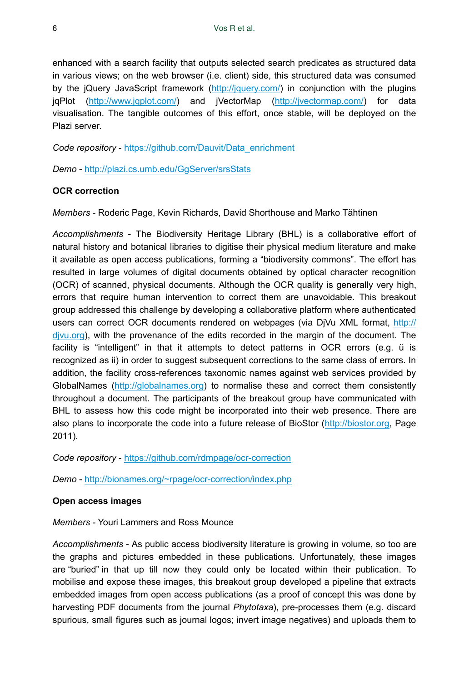enhanced with a search facility that outputs selected search predicates as structured data in various views; on the web browser (i.e. client) side, this structured data was consumed by the jQuery JavaScript framework [\(http://jquery.com/\)](http://jquery.com/) in conjunction with the plugins jqPlot (<http://www.jqplot.com/>) and jVectorMap [\(http://jvectormap.com/\)](http://jvectormap.com/) for data visualisation. The tangible outcomes of this effort, once stable, will be deployed on the Plazi server.

*Code repository* - [https://github.com/Dauvit/Data\\_enrichment](https://github.com/Dauvit/Data_enrichment)

*Demo* -<http://plazi.cs.umb.edu/GgServer/srsStats>

## **OCR correction**

*Members* - Roderic Page, Kevin Richards, David Shorthouse and Marko Tähtinen

*Accomplishments* - The Biodiversity Heritage Library (BHL) is a collaborative effort of natural history and botanical libraries to digitise their physical medium literature and make it available as open access publications, forming a "biodiversity commons". The effort has resulted in large volumes of digital documents obtained by optical character recognition (OCR) of scanned, physical documents. Although the OCR quality is generally very high, errors that require human intervention to correct them are unavoidable. This breakout group addressed this challenge by developing a collaborative platform where authenticated users can correct OCR documents rendered on webpages (via DiVu XML format, [http://](http://djvu.org) [djvu.org](http://djvu.org)), with the provenance of the edits recorded in the margin of the document. The facility is "intelligent" in that it attempts to detect patterns in OCR errors (e.g. ü is recognized as ii) in order to suggest subsequent corrections to the same class of errors. In addition, the facility cross-references taxonomic names against web services provided by GlobalNames [\(http://globalnames.org](http://globalnames.org)) to normalise these and correct them consistently throughout a document. The participants of the breakout group have communicated with BHL to assess how this code might be incorporated into their web presence. There are also plans to incorporate the code into a future release of BioStor ([http://biostor.org,](http://biostor.org) Page 2011).

*Code repository* - <https://github.com/rdmpage/ocr-correction>

*Demo* -<http://bionames.org/~rpage/ocr-correction/index.php>

#### **Open access images**

*Members* - Youri Lammers and Ross Mounce

*Accomplishments* - As public access biodiversity literature is growing in volume, so too are the graphs and pictures embedded in these publications. Unfortunately, these images are "buried" in that up till now they could only be located within their publication. To mobilise and expose these images, this breakout group developed a pipeline that extracts embedded images from open access publications (as a proof of concept this was done by harvesting PDF documents from the journal *Phytotaxa*), pre-processes them (e.g. discard spurious, small figures such as journal logos; invert image negatives) and uploads them to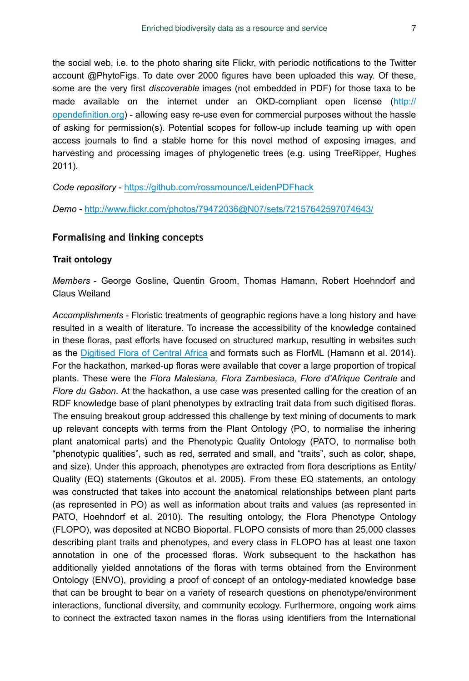the social web, i.e. to the photo sharing site Flickr, with periodic notifications to the Twitter account @PhytoFigs. To date over 2000 figures have been uploaded this way. Of these, some are the very first *discoverable* images (not embedded in PDF) for those taxa to be made available on the internet under an OKD-compliant open license ([http://](http://opendefinition.org) [opendefinition.org\)](http://opendefinition.org) - allowing easy re-use even for commercial purposes without the hassle of asking for permission(s). Potential scopes for follow-up include teaming up with open access journals to find a stable home for this novel method of exposing images, and harvesting and processing images of phylogenetic trees (e.g. using TreeRipper, Hughes 2011).

*Code repository* - <https://github.com/rossmounce/LeidenPDFhack>

*Demo* -<http://www.flickr.com/photos/79472036@N07/sets/72157642597074643/>

## **Formalising and linking concepts**

#### **Trait ontology**

*Members* - George Gosline, Quentin Groom, Thomas Hamann, Robert Hoehndorf and Claus Weiland

*Accomplishments* - Floristic treatments of geographic regions have a long history and have resulted in a wealth of literature. To increase the accessibility of the knowledge contained in these floras, past efforts have focused on structured markup, resulting in websites such as the [Digitised Flora of Central Africa](http://www.plantentuinmeise.be/RESEARCH/DATABASES/FOCA/index.php) and formats such as FlorML (Hamann et al. 2014). For the hackathon, marked-up floras were available that cover a large proportion of tropical plants. These were the *Flora Malesiana, Flora Zambesiaca, Flore d'Afrique Centrale* and *Flore du Gabon*. At the hackathon, a use case was presented calling for the creation of an RDF knowledge base of plant phenotypes by extracting trait data from such digitised floras. The ensuing breakout group addressed this challenge by text mining of documents to mark up relevant concepts with terms from the Plant Ontology (PO, to normalise the inhering plant anatomical parts) and the Phenotypic Quality Ontology (PATO, to normalise both "phenotypic qualities", such as red, serrated and small, and "traits", such as color, shape, and size). Under this approach, phenotypes are extracted from flora descriptions as Entity/ Quality (EQ) statements (Gkoutos et al. 2005). From these EQ statements, an ontology was constructed that takes into account the anatomical relationships between plant parts (as represented in PO) as well as information about traits and values (as represented in PATO, Hoehndorf et al. 2010). The resulting ontology, the Flora Phenotype Ontology (FLOPO), was deposited at NCBO Bioportal. FLOPO consists of more than 25,000 classes describing plant traits and phenotypes, and every class in FLOPO has at least one taxon annotation in one of the processed floras. Work subsequent to the hackathon has additionally yielded annotations of the floras with terms obtained from the Environment Ontology (ENVO), providing a proof of concept of an ontology-mediated knowledge base that can be brought to bear on a variety of research questions on phenotype/environment interactions, functional diversity, and community ecology. Furthermore, ongoing work aims to connect the extracted taxon names in the floras using identifiers from the International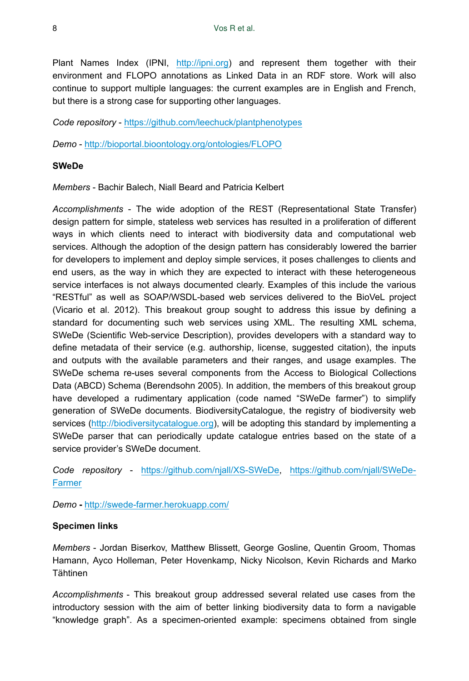Plant Names Index (IPNI, <http://ipni.org>) and represent them together with their environment and FLOPO annotations as Linked Data in an RDF store. Work will also continue to support multiple languages: the current examples are in English and French, but there is a strong case for supporting other languages.

*Code repository* - <https://github.com/leechuck/plantphenotypes>

*Demo* -<http://bioportal.bioontology.org/ontologies/FLOPO>

## **SWeDe**

*Members* - Bachir Balech, Niall Beard and Patricia Kelbert

*Accomplishments* - The wide adoption of the REST (Representational State Transfer) design pattern for simple, stateless web services has resulted in a proliferation of different ways in which clients need to interact with biodiversity data and computational web services. Although the adoption of the design pattern has considerably lowered the barrier for developers to implement and deploy simple services, it poses challenges to clients and end users, as the way in which they are expected to interact with these heterogeneous service interfaces is not always documented clearly. Examples of this include the various "RESTful" as well as SOAP/WSDL-based web services delivered to the BioVeL project (Vicario et al. 2012). This breakout group sought to address this issue by defining a standard for documenting such web services using XML. The resulting XML schema, SWeDe (Scientific Web-service Description), provides developers with a standard way to define metadata of their service (e.g. authorship, license, suggested citation), the inputs and outputs with the available parameters and their ranges, and usage examples. The SWeDe schema re-uses several components from the Access to Biological Collections Data (ABCD) Schema (Berendsohn 2005). In addition, the members of this breakout group have developed a rudimentary application (code named "SWeDe farmer") to simplify generation of SWeDe documents. BiodiversityCatalogue, the registry of biodiversity web services [\(http://biodiversitycatalogue.org](http://biodiversitycatalogue.org)), will be adopting this standard by implementing a SWeDe parser that can periodically update catalogue entries based on the state of a service provider's SWeDe document.

*Code repository* - [https://github.com/njall/XS-SWeDe,](https://github.com/njall/XS-SWeDe) [https://github.com/njall/SWeDe-](https://github.com/njall/SWeDe-Farmer)**[Farmer](https://github.com/njall/SWeDe-Farmer)** 

*Demo* **-** <http://swede-farmer.herokuapp.com/>

## **Specimen links**

*Members* - Jordan Biserkov, Matthew Blissett, George Gosline, Quentin Groom, Thomas Hamann, Ayco Holleman, Peter Hovenkamp, Nicky Nicolson, Kevin Richards and Marko Tähtinen

*Accomplishments* - This breakout group addressed several related use cases from the introductory session with the aim of better linking biodiversity data to form a navigable "knowledge graph". As a specimen-oriented example: specimens obtained from single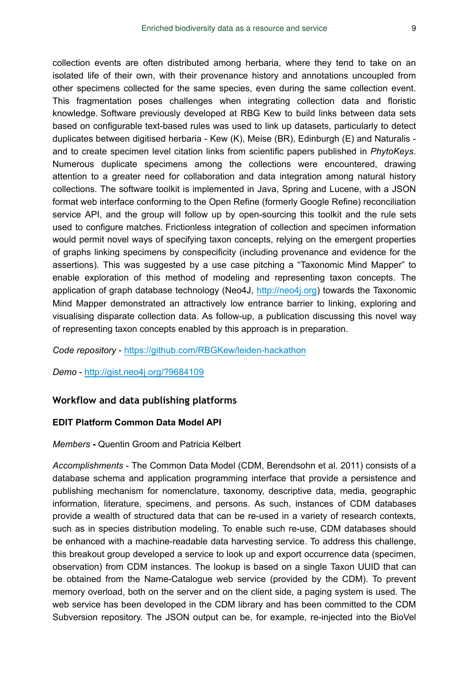collection events are often distributed among herbaria, where they tend to take on an isolated life of their own, with their provenance history and annotations uncoupled from other specimens collected for the same species, even during the same collection event. This fragmentation poses challenges when integrating collection data and floristic knowledge. Software previously developed at RBG Kew to build links between data sets based on configurable text-based rules was used to link up datasets, particularly to detect duplicates between digitised herbaria - Kew (K), Meise (BR), Edinburgh (E) and Naturalis and to create specimen level citation links from scientific papers published in *PhytoKeys*. Numerous duplicate specimens among the collections were encountered, drawing attention to a greater need for collaboration and data integration among natural history collections. The software toolkit is implemented in Java, Spring and Lucene, with a JSON format web interface conforming to the Open Refine (formerly Google Refine) reconciliation service API, and the group will follow up by open-sourcing this toolkit and the rule sets used to configure matches. Frictionless integration of collection and specimen information would permit novel ways of specifying taxon concepts, relying on the emergent properties of graphs linking specimens by conspecificity (including provenance and evidence for the assertions). This was suggested by a use case pitching a "Taxonomic Mind Mapper" to enable exploration of this method of modeling and representing taxon concepts. The application of graph database technology (Neo4J, <http://neo4j.org>) towards the Taxonomic Mind Mapper demonstrated an attractively low entrance barrier to linking, exploring and visualising disparate collection data. As follow-up, a publication discussing this novel way of representing taxon concepts enabled by this approach is in preparation.

#### *Code repository* - <https://github.com/RBGKew/leiden-hackathon>

## *Demo* -<http://gist.neo4j.org/?9684109>

## **Workflow and data publishing platforms**

# **EDIT Platform Common Data Model API**

#### *Members* **-** Quentin Groom and Patricia Kelbert

*Accomplishments* - The Common Data Model (CDM, Berendsohn et al. 2011) consists of a database schema and application programming interface that provide a persistence and publishing mechanism for nomenclature, taxonomy, descriptive data, media, geographic information, literature, specimens, and persons. As such, instances of CDM databases provide a wealth of structured data that can be re-used in a variety of research contexts, such as in species distribution modeling. To enable such re-use, CDM databases should be enhanced with a machine-readable data harvesting service. To address this challenge, this breakout group developed a service to look up and export occurrence data (specimen, observation) from CDM instances. The lookup is based on a single Taxon UUID that can be obtained from the Name-Catalogue web service (provided by the CDM). To prevent memory overload, both on the server and on the client side, a paging system is used. The web service has been developed in the CDM library and has been committed to the CDM Subversion repository. The JSON output can be, for example, re-injected into the BioVel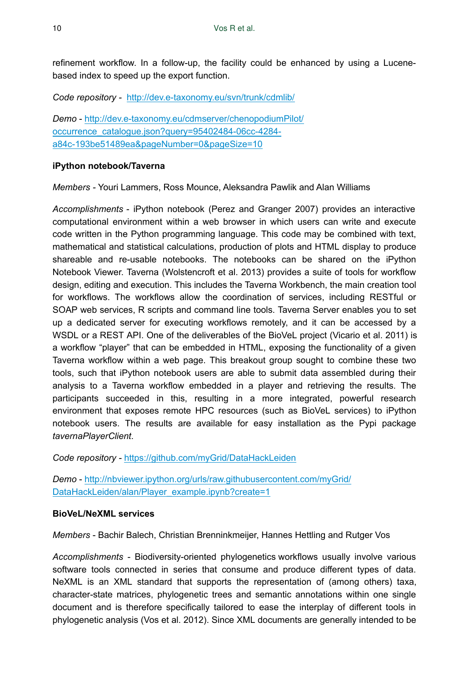refinement workflow. In a follow-up, the facility could be enhanced by using a Lucenebased index to speed up the export function.

*Code repository -* <http://dev.e-taxonomy.eu/svn/trunk/cdmlib/>

*Demo* - [http://dev.e-taxonomy.eu/cdmserver/chenopodiumPilot/](http://dev.e-taxonomy.eu/cdmserver/chenopodiumPilot/occurrence_catalogue.json?query=95402484-06cc-4284-a84c-193be51489ea&pageNumber=0&pageSize=10) [occurrence\\_catalogue.json?query=95402484-06cc-4284](http://dev.e-taxonomy.eu/cdmserver/chenopodiumPilot/occurrence_catalogue.json?query=95402484-06cc-4284-a84c-193be51489ea&pageNumber=0&pageSize=10) [a84c-193be51489ea&pageNumber=0&pageSize=10](http://dev.e-taxonomy.eu/cdmserver/chenopodiumPilot/occurrence_catalogue.json?query=95402484-06cc-4284-a84c-193be51489ea&pageNumber=0&pageSize=10)

## **iPython notebook/Taverna**

*Members -* Youri Lammers, Ross Mounce, Aleksandra Pawlik and Alan Williams

*Accomplishments* - iPython notebook (Perez and Granger 2007) provides an interactive computational environment within a web browser in which users can write and execute code written in the Python programming language. This code may be combined with text, mathematical and statistical calculations, production of plots and HTML display to produce shareable and re-usable notebooks. The notebooks can be shared on the iPython Notebook Viewer. Taverna (Wolstencroft et al. 2013) provides a suite of tools for workflow design, editing and execution. This includes the Taverna Workbench, the main creation tool for workflows. The workflows allow the coordination of services, including RESTful or SOAP web services, R scripts and command line tools. Taverna Server enables you to set up a dedicated server for executing workflows remotely, and it can be accessed by a WSDL or a REST API. One of the deliverables of the BioVeL project (Vicario et al. 2011) is a workflow "player" that can be embedded in HTML, exposing the functionality of a given Taverna workflow within a web page. This breakout group sought to combine these two tools, such that iPython notebook users are able to submit data assembled during their analysis to a Taverna workflow embedded in a player and retrieving the results. The participants succeeded in this, resulting in a more integrated, powerful research environment that exposes remote HPC resources (such as BioVeL services) to iPython notebook users. The results are available for easy installation as the Pypi package *tavernaPlayerClient*.

*Code repository -* <https://github.com/myGrid/DataHackLeiden>

*Demo* - [http://nbviewer.ipython.org/urls/raw.githubusercontent.com/myGrid/](http://nbviewer.ipython.org/urls/raw.githubusercontent.com/myGrid/DataHackLeiden/alan/Player_example.ipynb?create=1) [DataHackLeiden/alan/Player\\_example.ipynb?create=1](http://nbviewer.ipython.org/urls/raw.githubusercontent.com/myGrid/DataHackLeiden/alan/Player_example.ipynb?create=1)

#### **BioVeL/NeXML services**

*Members* - Bachir Balech, Christian Brenninkmeijer, Hannes Hettling and Rutger Vos

*Accomplishments* - Biodiversity-oriented phylogenetics workflows usually involve various software tools connected in series that consume and produce different types of data. NeXML is an XML standard that supports the representation of (among others) taxa, character-state matrices, phylogenetic trees and semantic annotations within one single document and is therefore specifically tailored to ease the interplay of different tools in phylogenetic analysis (Vos et al. 2012). Since XML documents are generally intended to be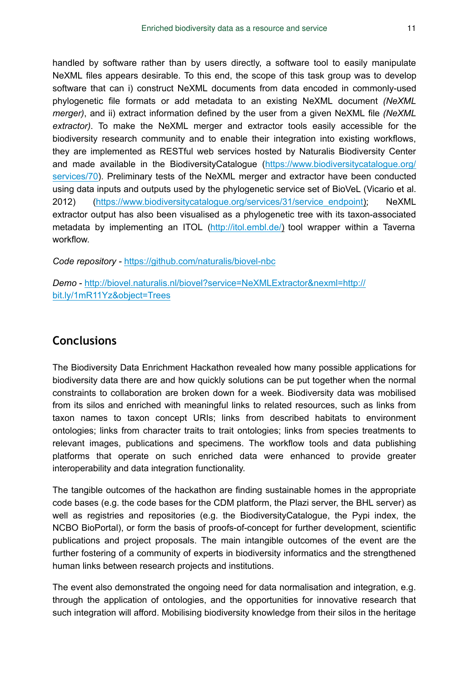handled by software rather than by users directly, a software tool to easily manipulate NeXML files appears desirable. To this end, the scope of this task group was to develop software that can i) construct NeXML documents from data encoded in commonly-used phylogenetic file formats or add metadata to an existing NeXML document *(NeXML merger)*, and ii) extract information defined by the user from a given NeXML file *(NeXML extractor)*. To make the NeXML merger and extractor tools easily accessible for the biodiversity research community and to enable their integration into existing workflows, they are implemented as RESTful web services hosted by Naturalis Biodiversity Center and made available in the BiodiversityCatalogue ([https://www.biodiversitycatalogue.org/](https://www.biodiversitycatalogue.org/services/70) [services/70\)](https://www.biodiversitycatalogue.org/services/70). Preliminary tests of the NeXML merger and extractor have been conducted using data inputs and outputs used by the phylogenetic service set of BioVeL (Vicario et al. 2012) ([https://www.biodiversitycatalogue.org/services/31/service\\_endpoint](https://www.biodiversitycatalogue.org/services/31/service_endpoint)); NeXML extractor output has also been visualised as a phylogenetic tree with its taxon-associated metadata by implementing an ITOL [\(http://itol.embl.de/\)](http://itol.embl.de/) tool wrapper within a Taverna workflow.

*Code repository -* <https://github.com/naturalis/biovel-nbc>

*Demo* - [http://biovel.naturalis.nl/biovel?service=NeXMLExtractor&nexml=http://](http://biovel.naturalis.nl/biovel?service=NeXMLExtractor&nexml=http://bit.ly/1mR11Yz&object=Trees) [bit.ly/1mR11Yz&object=Trees](http://biovel.naturalis.nl/biovel?service=NeXMLExtractor&nexml=http://bit.ly/1mR11Yz&object=Trees)

# **Conclusions**

The Biodiversity Data Enrichment Hackathon revealed how many possible applications for biodiversity data there are and how quickly solutions can be put together when the normal constraints to collaboration are broken down for a week. Biodiversity data was mobilised from its silos and enriched with meaningful links to related resources, such as links from taxon names to taxon concept URIs; links from described habitats to environment ontologies; links from character traits to trait ontologies; links from species treatments to relevant images, publications and specimens. The workflow tools and data publishing platforms that operate on such enriched data were enhanced to provide greater interoperability and data integration functionality.

The tangible outcomes of the hackathon are finding sustainable homes in the appropriate code bases (e.g. the code bases for the CDM platform, the Plazi server, the BHL server) as well as registries and repositories (e.g. the BiodiversityCatalogue, the Pypi index, the NCBO BioPortal), or form the basis of proofs-of-concept for further development, scientific publications and project proposals. The main intangible outcomes of the event are the further fostering of a community of experts in biodiversity informatics and the strengthened human links between research projects and institutions.

The event also demonstrated the ongoing need for data normalisation and integration, e.g. through the application of ontologies, and the opportunities for innovative research that such integration will afford. Mobilising biodiversity knowledge from their silos in the heritage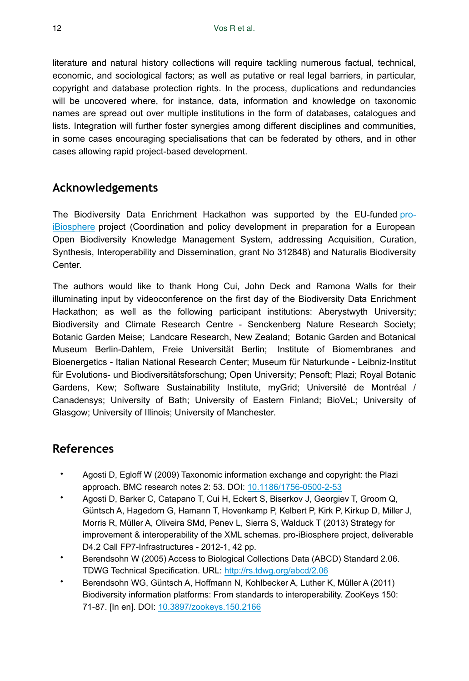literature and natural history collections will require tackling numerous factual, technical, economic, and sociological factors; as well as putative or real legal barriers, in particular, copyright and database protection rights. In the process, duplications and redundancies will be uncovered where, for instance, data, information and knowledge on taxonomic names are spread out over multiple institutions in the form of databases, catalogues and lists. Integration will further foster synergies among different disciplines and communities, in some cases encouraging specialisations that can be federated by others, and in other cases allowing rapid project-based development.

# **Acknowledgements**

The Biodiversity Data Enrichment Hackathon was supported by the EU-funded [pro](http://www.pro-ibiosphere.eu/)[iBiosphere](http://www.pro-ibiosphere.eu/) project (Coordination and policy development in preparation for a European Open Biodiversity Knowledge Management System, addressing Acquisition, Curation, Synthesis, Interoperability and Dissemination, grant No 312848) and Naturalis Biodiversity Center.

The authors would like to thank Hong Cui, John Deck and Ramona Walls for their illuminating input by videoconference on the first day of the Biodiversity Data Enrichment Hackathon; as well as the following participant institutions: Aberystwyth University; Biodiversity and Climate Research Centre - Senckenberg Nature Research Society; Botanic Garden Meise; Landcare Research, New Zealand; Botanic Garden and Botanical Museum Berlin-Dahlem, Freie Universität Berlin; Institute of Biomembranes and Bioenergetics - Italian National Research Center; Museum für Naturkunde - Leibniz-Institut für Evolutions- und Biodiversitätsforschung; Open University; Pensoft; Plazi; Royal Botanic Gardens, Kew; Software Sustainability Institute, myGrid; Université de Montréal / Canadensys; University of Bath; University of Eastern Finland; BioVeL; University of Glasgow; University of Illinois; University of Manchester.

# **References**

- Agosti D, Egloff W (2009) Taxonomic information exchange and copyright: the Plazi approach. BMC research notes 2: 53. DOI: [10.1186/1756-0500-2-53](http://dx.doi.org/10.1186/1756-0500-2-53)
- Agosti D, Barker C, Catapano T, Cui H, Eckert S, Biserkov J, Georgiev T, Groom Q, Güntsch A, Hagedorn G, Hamann T, Hovenkamp P, Kelbert P, Kirk P, Kirkup D, Miller J, Morris R, Müller A, Oliveira SMd, Penev L, Sierra S, Walduck T (2013) Strategy for improvement & interoperability of the XML schemas. pro-iBiosphere project, deliverable D4.2 Call FP7-Infrastructures - 2012-1, 42 pp.
- Berendsohn W (2005) Access to Biological Collections Data (ABCD) Standard 2.06. TDWG Technical Specification. URL: <http://rs.tdwg.org/abcd/2.06>
- Berendsohn WG, Güntsch A, Hoffmann N, Kohlbecker A, Luther K, Müller A (2011) Biodiversity information platforms: From standards to interoperability. ZooKeys 150: 71‑87. [In en]. DOI: [10.3897/zookeys.150.2166](http://dx.doi.org/10.3897/zookeys.150.2166)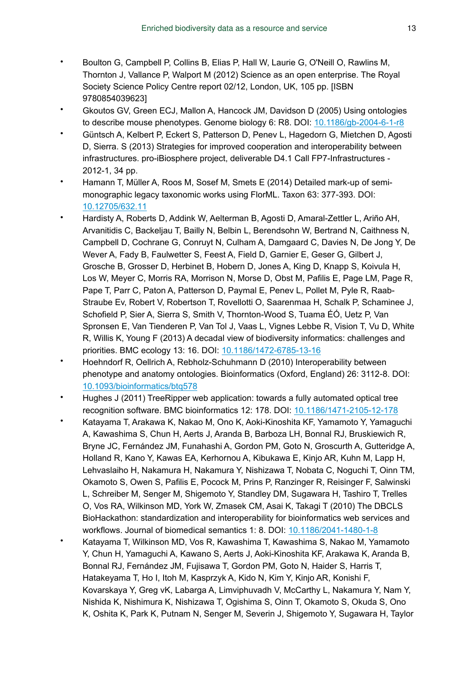- Boulton G, Campbell P, Collins B, Elias P, Hall W, Laurie G, O'Neill O, Rawlins M, Thornton J, Vallance P, Walport M (2012) Science as an open enterprise. The Royal Society Science Policy Centre report 02/12, London, UK, 105 pp. [ISBN 9780854039623]
- Gkoutos GV, Green ECJ, Mallon A, Hancock JM, Davidson D (2005) Using ontologies to describe mouse phenotypes. Genome biology 6: R8. DOI: [10.1186/gb-2004-6-1-r8](http://dx.doi.org/10.1186/gb-2004-6-1-r8)
- Güntsch A, Kelbert P, Eckert S, Patterson D, Penev L, Hagedorn G, Mietchen D, Agosti D, Sierra. S (2013) Strategies for improved cooperation and interoperability between infrastructures. pro-iBiosphere project, deliverable D4.1 Call FP7-Infrastructures - 2012-1, 34 pp.
- Hamann T, Müller A, Roos M, Sosef M, Smets E (2014) Detailed mark-up of semimonographic legacy taxonomic works using FlorML. Taxon 63: 377‑393. DOI: [10.12705/632.11](http://dx.doi.org/10.12705/632.11)
- Hardisty A, Roberts D, Addink W, Aelterman B, Agosti D, Amaral-Zettler L, Ariño AH, Arvanitidis C, Backeljau T, Bailly N, Belbin L, Berendsohn W, Bertrand N, Caithness N, Campbell D, Cochrane G, Conruyt N, Culham A, Damgaard C, Davies N, De Jong Y, De Wever A, Fady B, Faulwetter S, Feest A, Field D, Garnier E, Geser G, Gilbert J, Grosche B, Grosser D, Herbinet B, Hobern D, Jones A, King D, Knapp S, Koivula H, Los W, Meyer C, Morris RA, Morrison N, Morse D, Obst M, Pafilis E, Page LM, Page R, Pape T, Parr C, Paton A, Patterson D, Paymal E, Penev L, Pollet M, Pyle R, Raab-Straube Ev, Robert V, Robertson T, Rovellotti O, Saarenmaa H, Schalk P, Schaminee J, Schofield P, Sier A, Sierra S, Smith V, Thornton-Wood S, Tuama ÉÓ, Uetz P, Van Spronsen E, Van Tienderen P, Van Tol J, Vaas L, Vignes Lebbe R, Vision T, Vu D, White R, Willis K, Young F (2013) A decadal view of biodiversity informatics: challenges and priorities. BMC ecology 13: 16. DOI: [10.1186/1472-6785-13-16](http://dx.doi.org/10.1186/1472-6785-13-16)
- Hoehndorf R, Oellrich A, Rebholz-Schuhmann D (2010) Interoperability between phenotype and anatomy ontologies. Bioinformatics (Oxford, England) 26: 3112‑8. DOI: [10.1093/bioinformatics/btq578](http://dx.doi.org/10.1093/bioinformatics/btq578)
- Hughes J (2011) TreeRipper web application: towards a fully automated optical tree recognition software. BMC bioinformatics 12: 178. DOI: [10.1186/1471-2105-12-178](http://dx.doi.org/10.1186/1471-2105-12-178)
- Katayama T, Arakawa K, Nakao M, Ono K, Aoki-Kinoshita KF, Yamamoto Y, Yamaguchi A, Kawashima S, Chun H, Aerts J, Aranda B, Barboza LH, Bonnal RJ, Bruskiewich R, Bryne JC, Fernández JM, Funahashi A, Gordon PM, Goto N, Groscurth A, Gutteridge A, Holland R, Kano Y, Kawas EA, Kerhornou A, Kibukawa E, Kinjo AR, Kuhn M, Lapp H, Lehvaslaiho H, Nakamura H, Nakamura Y, Nishizawa T, Nobata C, Noguchi T, Oinn TM, Okamoto S, Owen S, Pafilis E, Pocock M, Prins P, Ranzinger R, Reisinger F, Salwinski L, Schreiber M, Senger M, Shigemoto Y, Standley DM, Sugawara H, Tashiro T, Trelles O, Vos RA, Wilkinson MD, York W, Zmasek CM, Asai K, Takagi T (2010) The DBCLS BioHackathon: standardization and interoperability for bioinformatics web services and workflows. Journal of biomedical semantics 1: 8. DOI: [10.1186/2041-1480-1-8](http://dx.doi.org/10.1186/2041-1480-1-8)
- Katayama T, Wilkinson MD, Vos R, Kawashima T, Kawashima S, Nakao M, Yamamoto Y, Chun H, Yamaguchi A, Kawano S, Aerts J, Aoki-Kinoshita KF, Arakawa K, Aranda B, Bonnal RJ, Fernández JM, Fujisawa T, Gordon PM, Goto N, Haider S, Harris T, Hatakeyama T, Ho I, Itoh M, Kasprzyk A, Kido N, Kim Y, Kinjo AR, Konishi F, Kovarskaya Y, Greg vK, Labarga A, Limviphuvadh V, McCarthy L, Nakamura Y, Nam Y, Nishida K, Nishimura K, Nishizawa T, Ogishima S, Oinn T, Okamoto S, Okuda S, Ono K, Oshita K, Park K, Putnam N, Senger M, Severin J, Shigemoto Y, Sugawara H, Taylor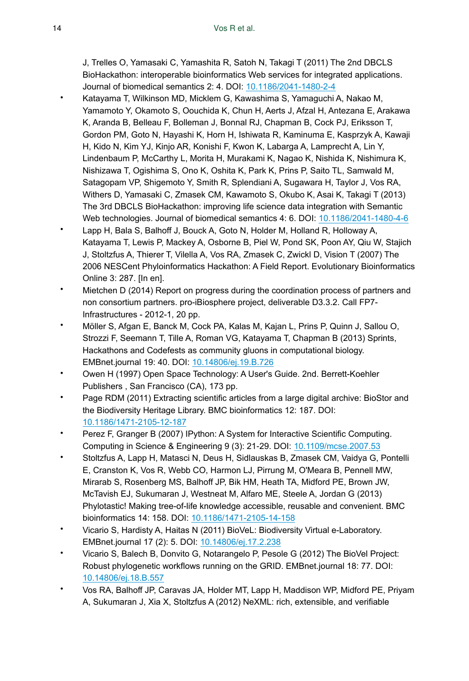J, Trelles O, Yamasaki C, Yamashita R, Satoh N, Takagi T (2011) The 2nd DBCLS BioHackathon: interoperable bioinformatics Web services for integrated applications. Journal of biomedical semantics 2: 4. DOI: [10.1186/2041-1480-2-4](http://dx.doi.org/10.1186/2041-1480-2-4)

- Katayama T, Wilkinson MD, Micklem G, Kawashima S, Yamaguchi A, Nakao M, Yamamoto Y, Okamoto S, Oouchida K, Chun H, Aerts J, Afzal H, Antezana E, Arakawa K, Aranda B, Belleau F, Bolleman J, Bonnal RJ, Chapman B, Cock PJ, Eriksson T, Gordon PM, Goto N, Hayashi K, Horn H, Ishiwata R, Kaminuma E, Kasprzyk A, Kawaji H, Kido N, Kim YJ, Kinjo AR, Konishi F, Kwon K, Labarga A, Lamprecht A, Lin Y, Lindenbaum P, McCarthy L, Morita H, Murakami K, Nagao K, Nishida K, Nishimura K, Nishizawa T, Ogishima S, Ono K, Oshita K, Park K, Prins P, Saito TL, Samwald M, Satagopam VP, Shigemoto Y, Smith R, Splendiani A, Sugawara H, Taylor J, Vos RA, Withers D, Yamasaki C, Zmasek CM, Kawamoto S, Okubo K, Asai K, Takagi T (2013) The 3rd DBCLS BioHackathon: improving life science data integration with Semantic Web technologies. Journal of biomedical semantics 4: 6. DOI: [10.1186/2041-1480-4-6](http://dx.doi.org/10.1186/2041-1480-4-6)
- Lapp H, Bala S, Balhoff J, Bouck A, Goto N, Holder M, Holland R, Holloway A, Katayama T, Lewis P, Mackey A, Osborne B, Piel W, Pond SK, Poon AY, Qiu W, Stajich J, Stoltzfus A, Thierer T, Vilella A, Vos RA, Zmasek C, Zwickl D, Vision T (2007) The 2006 NESCent Phyloinformatics Hackathon: A Field Report. Evolutionary Bioinformatics Online 3: 287. [In en].
- Mietchen D (2014) Report on progress during the coordination process of partners and non consortium partners. pro-iBiosphere project, deliverable D3.3.2. Call FP7- Infrastructures - 2012-1, 20 pp.
- Möller S, Afgan E, Banck M, Cock PA, Kalas M, Kajan L, Prins P, Quinn J, Sallou O, Strozzi F, Seemann T, Tille A, Roman VG, Katayama T, Chapman B (2013) Sprints, Hackathons and Codefests as community gluons in computational biology. EMBnet.journal 19: 40. DOI: [10.14806/ej.19.B.726](http://dx.doi.org/10.14806/ej.19.B.726)
- Owen H (1997) Open Space Technology: A User's Guide. 2nd. Berrett-Koehler Publishers , San Francisco (CA), 173 pp.
- Page RDM (2011) Extracting scientific articles from a large digital archive: BioStor and the Biodiversity Heritage Library. BMC bioinformatics 12: 187. DOI: [10.1186/1471-2105-12-187](http://dx.doi.org/10.1186/1471-2105-12-187)
- Perez F, Granger B (2007) IPython: A System for Interactive Scientific Computing. Computing in Science & Engineering 9 (3): 21‑29. DOI: [10.1109/mcse.2007.53](http://dx.doi.org/10.1109/mcse.2007.53)
- Stoltzfus A, Lapp H, Matasci N, Deus H, Sidlauskas B, Zmasek CM, Vaidya G, Pontelli E, Cranston K, Vos R, Webb CO, Harmon LJ, Pirrung M, O'Meara B, Pennell MW, Mirarab S, Rosenberg MS, Balhoff JP, Bik HM, Heath TA, Midford PE, Brown JW, McTavish EJ, Sukumaran J, Westneat M, Alfaro ME, Steele A, Jordan G (2013) Phylotastic! Making tree-of-life knowledge accessible, reusable and convenient. BMC bioinformatics 14: 158. DOI: [10.1186/1471-2105-14-158](http://dx.doi.org/10.1186/1471-2105-14-158)
- Vicario S, Hardisty A, Haitas N (2011) BioVeL: Biodiversity Virtual e-Laboratory. EMBnet.journal 17 (2): 5. DOI: [10.14806/ej.17.2.238](http://dx.doi.org/10.14806/ej.17.2.238)
- Vicario S, Balech B, Donvito G, Notarangelo P, Pesole G (2012) The BioVel Project: Robust phylogenetic workflows running on the GRID. EMBnet.journal 18: 77. DOI: [10.14806/ej.18.B.557](http://dx.doi.org/10.14806/ej.18.B.557)
- Vos RA, Balhoff JP, Caravas JA, Holder MT, Lapp H, Maddison WP, Midford PE, Priyam A, Sukumaran J, Xia X, Stoltzfus A (2012) NeXML: rich, extensible, and verifiable